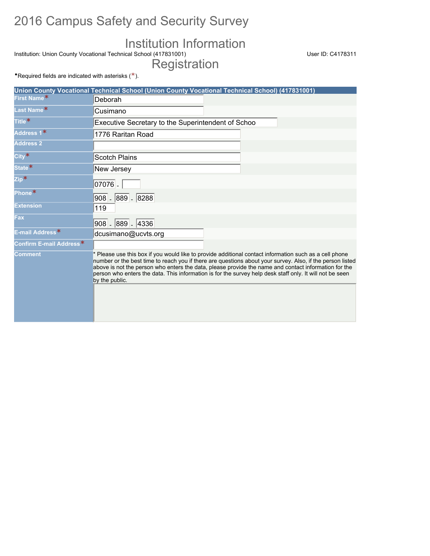## 2016 Campus Safety and Security Survey

## Institution Information

Institution: Union County Vocational Technical School (417831001) User ID: C4178311 Registration

•Required fields are indicated with asterisks  $(*).$ 

|                                     | Union County Vocational Technical School (Union County Vocational Technical School) (417831001)                                                                                                                                                                                                                                                                                                                                                           |
|-------------------------------------|-----------------------------------------------------------------------------------------------------------------------------------------------------------------------------------------------------------------------------------------------------------------------------------------------------------------------------------------------------------------------------------------------------------------------------------------------------------|
| First Name*                         | Deborah                                                                                                                                                                                                                                                                                                                                                                                                                                                   |
| Last Name*                          | Cusimano                                                                                                                                                                                                                                                                                                                                                                                                                                                  |
| Title <sup>*</sup>                  | Executive Secretary to the Superintendent of Schoo                                                                                                                                                                                                                                                                                                                                                                                                        |
| Address 1*                          | 1776 Raritan Road                                                                                                                                                                                                                                                                                                                                                                                                                                         |
| <b>Address 2</b>                    |                                                                                                                                                                                                                                                                                                                                                                                                                                                           |
| $City*$                             | <b>Scotch Plains</b>                                                                                                                                                                                                                                                                                                                                                                                                                                      |
| State*                              | New Jersey                                                                                                                                                                                                                                                                                                                                                                                                                                                |
| $\mathsf{Zip*}$                     | $07076$ .                                                                                                                                                                                                                                                                                                                                                                                                                                                 |
| Phone*                              | 908 - 889 - 8288                                                                                                                                                                                                                                                                                                                                                                                                                                          |
| <b>Extension</b>                    | 119                                                                                                                                                                                                                                                                                                                                                                                                                                                       |
| <b>Fax</b>                          | 908 - 889 - 4336                                                                                                                                                                                                                                                                                                                                                                                                                                          |
| E-mail Address <sup>*</sup>         | dcusimano@ucvts.org                                                                                                                                                                                                                                                                                                                                                                                                                                       |
| Confirm E-mail Address <sup>*</sup> |                                                                                                                                                                                                                                                                                                                                                                                                                                                           |
| <b>Comment</b>                      | * Please use this box if you would like to provide additional contact information such as a cell phone<br>number or the best time to reach you if there are questions about your survey. Also, if the person listed<br>above is not the person who enters the data, please provide the name and contact information for the<br>person who enters the data. This information is for the survey help desk staff only. It will not be seen<br>by the public. |
|                                     |                                                                                                                                                                                                                                                                                                                                                                                                                                                           |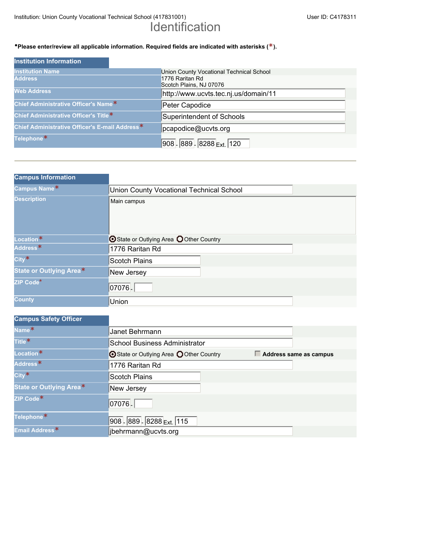Institution: Union County Vocational Technical School (417831001) User ID: C4178311

# Identification

#### •**Please enter/review all applicable information. Required fields are indicated with asterisks (\*).**

| <b>Institution Information</b>                 |                                            |
|------------------------------------------------|--------------------------------------------|
| <b>Institution Name</b>                        | Union County Vocational Technical School   |
| <b>Address</b>                                 | 1776 Raritan Rd<br>Scotch Plains, NJ 07076 |
| <b>Web Address</b>                             | http://www.ucvts.tec.nj.us/domain/11       |
| Chief Administrative Officer's Name*           | Peter Capodice                             |
| Chief Administrative Officer's Title*          | Superintendent of Schools                  |
| Chief Administrative Officer's E-mail Address* | pcapodice@ucvts.org                        |
| Telephone <sup>*</sup>                         | 908 - 889 - 8288 <sub>Ext.</sub> 120       |

| <b>Campus Information</b>      |                                          |  |
|--------------------------------|------------------------------------------|--|
| Campus Name*                   | Union County Vocational Technical School |  |
| <b>Description</b>             | Main campus                              |  |
| Location*                      | ⊙ State or Outlying Area ○ Other Country |  |
| Address <sup>*</sup>           | 1776 Raritan Rd                          |  |
| $City*$                        | <b>Scotch Plains</b>                     |  |
| <b>State or Outlying Area*</b> | New Jersey                               |  |
| ZIP Code*                      | 07076                                    |  |
| <b>County</b>                  | Union                                    |  |

| <b>Campus Safety Officer</b> |                                                                    |  |
|------------------------------|--------------------------------------------------------------------|--|
| Name <sup>*</sup>            | Janet Behrmann                                                     |  |
| Title <sup>*</sup>           | <b>School Business Administrator</b>                               |  |
| Location*                    | ⊙ State or Outlying Area ○ Other Country<br>Address same as campus |  |
| Address <sup>*</sup>         | 1776 Raritan Rd                                                    |  |
| $City*$                      | <b>Scotch Plains</b>                                               |  |
| State or Outlying Area*      | New Jersey                                                         |  |
| ZIP Code <sup>*</sup>        | 07076                                                              |  |
| Telephone*                   | $908 - 889 - 8288$ Ext. 115                                        |  |
| Email Address*               | jbehrmann@ucvts.org                                                |  |